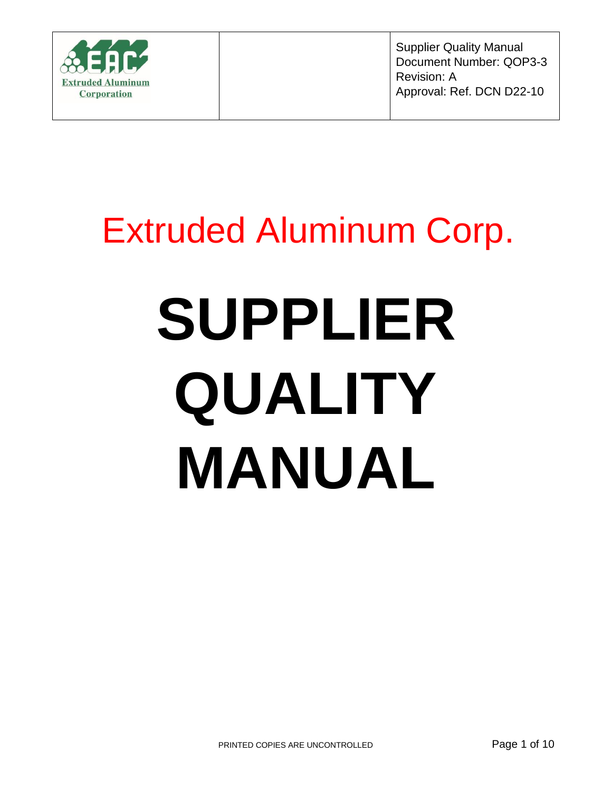

Supplier Quality Manual Document Number: QOP3-3 Revision: A Approval: Ref. DCN D22-10

# Extruded Aluminum Corp.

# **SUPPLIER QUALITY MANUAL**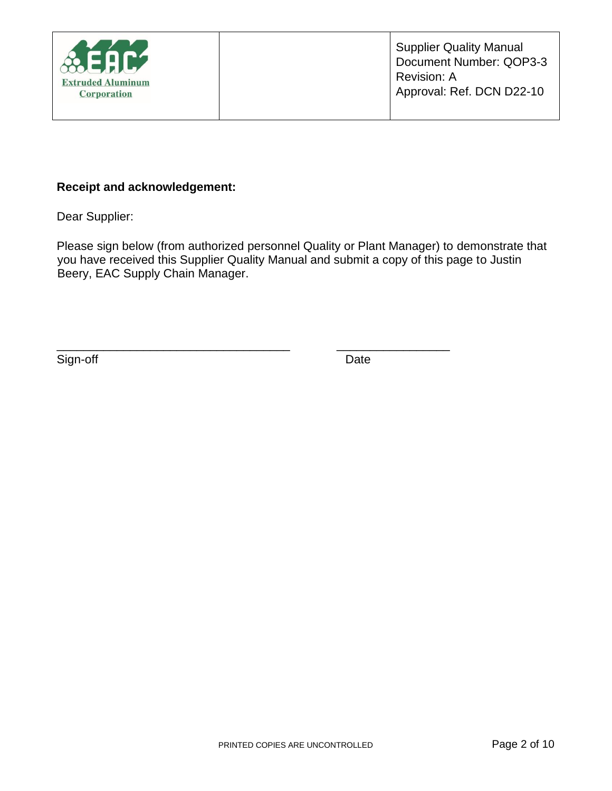

#### **Receipt and acknowledgement:**

Dear Supplier:

Please sign below (from authorized personnel Quality or Plant Manager) to demonstrate that you have received this Supplier Quality Manual and submit a copy of this page to Justin Beery, EAC Supply Chain Manager.

\_\_\_\_\_\_\_\_\_\_\_\_\_\_\_\_\_\_\_\_\_\_\_\_\_\_\_\_\_\_\_\_\_\_\_ \_\_\_\_\_\_\_\_\_\_\_\_\_\_\_\_\_

Sign-off Date Date Date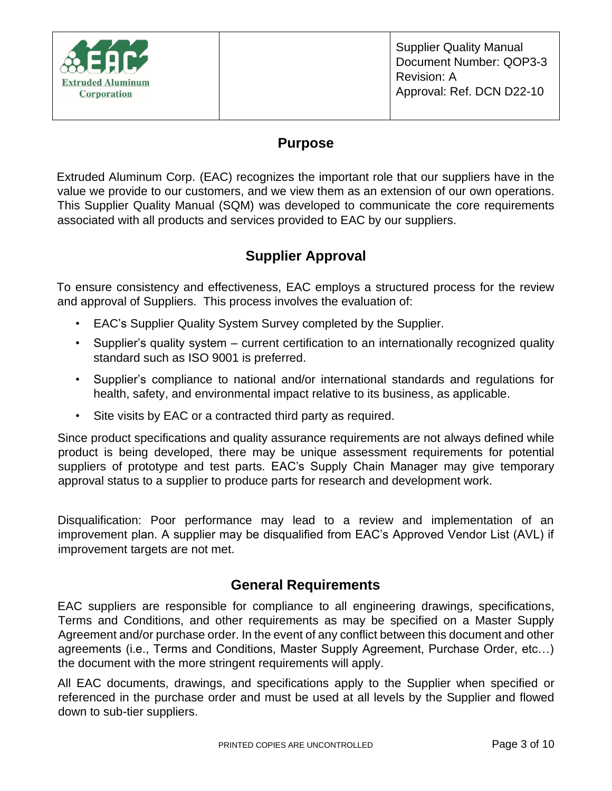

#### **Purpose**

Extruded Aluminum Corp. (EAC) recognizes the important role that our suppliers have in the value we provide to our customers, and we view them as an extension of our own operations. This Supplier Quality Manual (SQM) was developed to communicate the core requirements associated with all products and services provided to EAC by our suppliers.

# **Supplier Approval**

To ensure consistency and effectiveness, EAC employs a structured process for the review and approval of Suppliers. This process involves the evaluation of:

- EAC's Supplier Quality System Survey completed by the Supplier.
- Supplier's quality system current certification to an internationally recognized quality standard such as ISO 9001 is preferred.
- Supplier's compliance to national and/or international standards and regulations for health, safety, and environmental impact relative to its business, as applicable.
- Site visits by EAC or a contracted third party as required.

Since product specifications and quality assurance requirements are not always defined while product is being developed, there may be unique assessment requirements for potential suppliers of prototype and test parts. EAC's Supply Chain Manager may give temporary approval status to a supplier to produce parts for research and development work.

Disqualification: Poor performance may lead to a review and implementation of an improvement plan. A supplier may be disqualified from EAC's Approved Vendor List (AVL) if improvement targets are not met.

#### **General Requirements**

EAC suppliers are responsible for compliance to all engineering drawings, specifications, Terms and Conditions, and other requirements as may be specified on a Master Supply Agreement and/or purchase order. In the event of any conflict between this document and other agreements (i.e., Terms and Conditions, Master Supply Agreement, Purchase Order, etc…) the document with the more stringent requirements will apply.

All EAC documents, drawings, and specifications apply to the Supplier when specified or referenced in the purchase order and must be used at all levels by the Supplier and flowed down to sub-tier suppliers.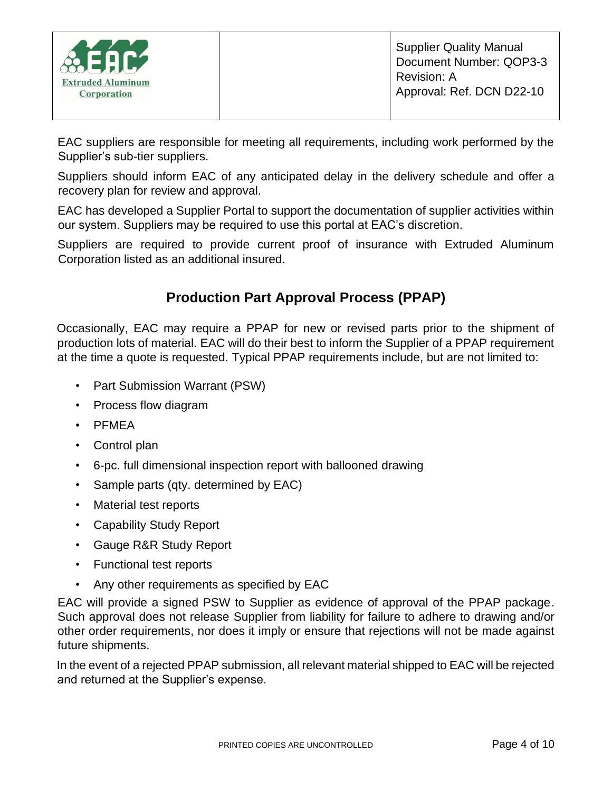| $\frac{1}{20}$ EAC<br><b>Extruded Aluminum</b><br><b>Corporation</b> | <b>Supplier Quality Manual</b><br>Document Number: QOP3-3<br>Revision: A<br>Approval: Ref. DCN D22-10 |
|----------------------------------------------------------------------|-------------------------------------------------------------------------------------------------------|
|----------------------------------------------------------------------|-------------------------------------------------------------------------------------------------------|

EAC suppliers are responsible for meeting all requirements, including work performed by the Supplier's sub-tier suppliers.

Suppliers should inform EAC of any anticipated delay in the delivery schedule and offer a recovery plan for review and approval.

EAC has developed a Supplier Portal to support the documentation of supplier activities within our system. Suppliers may be required to use this portal at EAC's discretion.

Suppliers are required to provide current proof of insurance with Extruded Aluminum Corporation listed as an additional insured.

# **Production Part Approval Process (PPAP)**

Occasionally, EAC may require a PPAP for new or revised parts prior to the shipment of production lots of material. EAC will do their best to inform the Supplier of a PPAP requirement at the time a quote is requested. Typical PPAP requirements include, but are not limited to:

- Part Submission Warrant (PSW)
- Process flow diagram
- PFMEA
- Control plan
- 6-pc. full dimensional inspection report with ballooned drawing
- Sample parts (qty. determined by EAC)
- Material test reports
- Capability Study Report
- Gauge R&R Study Report
- Functional test reports
- Any other requirements as specified by EAC

EAC will provide a signed PSW to Supplier as evidence of approval of the PPAP package. Such approval does not release Supplier from liability for failure to adhere to drawing and/or other order requirements, nor does it imply or ensure that rejections will not be made against future shipments.

In the event of a rejected PPAP submission, all relevant material shipped to EAC will be rejected and returned at the Supplier's expense.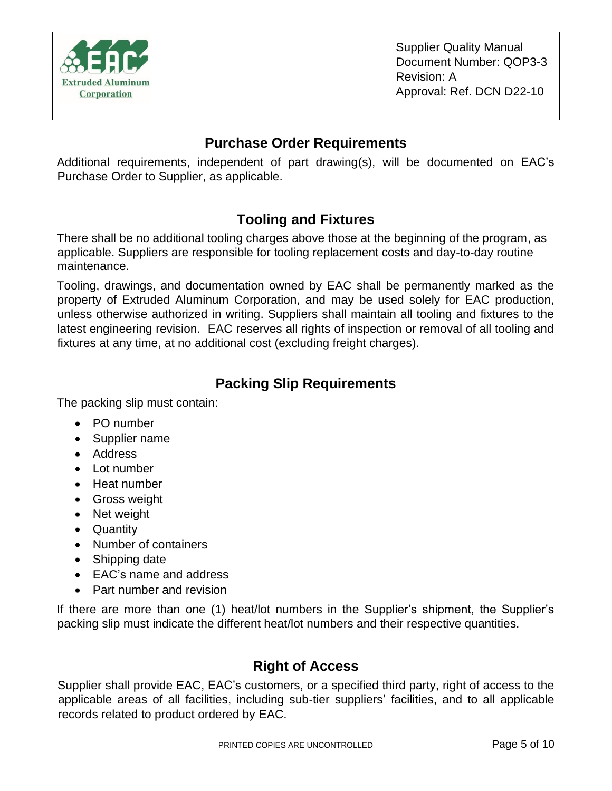

#### **Purchase Order Requirements**

Additional requirements, independent of part drawing(s), will be documented on EAC's Purchase Order to Supplier, as applicable.

# **Tooling and Fixtures**

There shall be no additional tooling charges above those at the beginning of the program, as applicable. Suppliers are responsible for tooling replacement costs and day-to-day routine maintenance.

Tooling, drawings, and documentation owned by EAC shall be permanently marked as the property of Extruded Aluminum Corporation, and may be used solely for EAC production, unless otherwise authorized in writing. Suppliers shall maintain all tooling and fixtures to the latest engineering revision. EAC reserves all rights of inspection or removal of all tooling and fixtures at any time, at no additional cost (excluding freight charges).

# **Packing Slip Requirements**

The packing slip must contain:

- PO number
- Supplier name
- Address
- Lot number
- Heat number
- Gross weight
- Net weight
- Quantity
- Number of containers
- Shipping date
- EAC's name and address
- Part number and revision

If there are more than one (1) heat/lot numbers in the Supplier's shipment, the Supplier's packing slip must indicate the different heat/lot numbers and their respective quantities.

#### **Right of Access**

Supplier shall provide EAC, EAC's customers, or a specified third party, right of access to the applicable areas of all facilities, including sub-tier suppliers' facilities, and to all applicable records related to product ordered by EAC.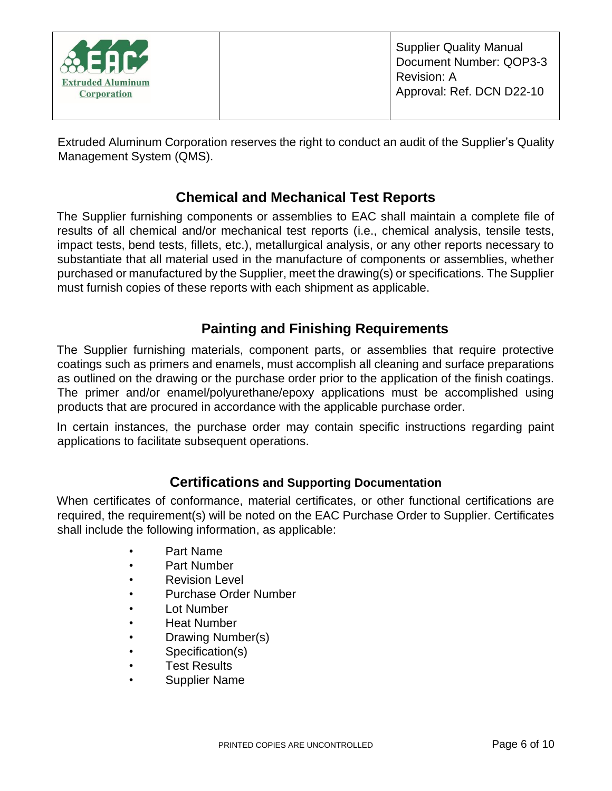Extruded Aluminum Corporation reserves the right to conduct an audit of the Supplier's Quality Management System (QMS).

# **Chemical and Mechanical Test Reports**

The Supplier furnishing components or assemblies to EAC shall maintain a complete file of results of all chemical and/or mechanical test reports (i.e., chemical analysis, tensile tests, impact tests, bend tests, fillets, etc.), metallurgical analysis, or any other reports necessary to substantiate that all material used in the manufacture of components or assemblies, whether purchased or manufactured by the Supplier, meet the drawing(s) or specifications. The Supplier must furnish copies of these reports with each shipment as applicable.

# **Painting and Finishing Requirements**

The Supplier furnishing materials, component parts, or assemblies that require protective coatings such as primers and enamels, must accomplish all cleaning and surface preparations as outlined on the drawing or the purchase order prior to the application of the finish coatings. The primer and/or enamel/polyurethane/epoxy applications must be accomplished using products that are procured in accordance with the applicable purchase order.

In certain instances, the purchase order may contain specific instructions regarding paint applications to facilitate subsequent operations.

#### **Certifications and Supporting Documentation**

When certificates of conformance, material certificates, or other functional certifications are required, the requirement(s) will be noted on the EAC Purchase Order to Supplier. Certificates shall include the following information, as applicable:

- Part Name
- Part Number
- **Revision Level**
- Purchase Order Number
- Lot Number
- **Heat Number**
- Drawing Number(s)
- Specification(s)
- **Test Results**
- Supplier Name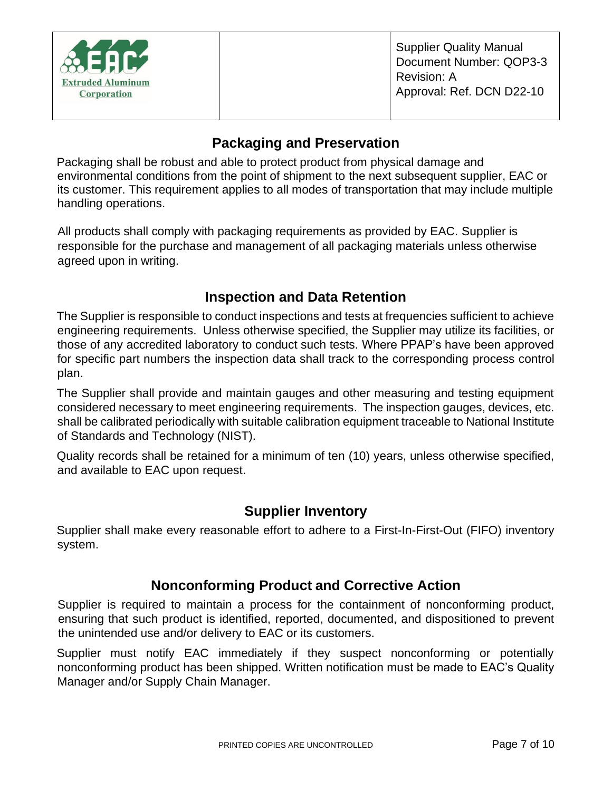

# **Packaging and Preservation**

Packaging shall be robust and able to protect product from physical damage and environmental conditions from the point of shipment to the next subsequent supplier, EAC or its customer. This requirement applies to all modes of transportation that may include multiple handling operations.

All products shall comply with packaging requirements as provided by EAC. Supplier is responsible for the purchase and management of all packaging materials unless otherwise agreed upon in writing.

#### **Inspection and Data Retention**

The Supplier is responsible to conduct inspections and tests at frequencies sufficient to achieve engineering requirements. Unless otherwise specified, the Supplier may utilize its facilities, or those of any accredited laboratory to conduct such tests. Where PPAP's have been approved for specific part numbers the inspection data shall track to the corresponding process control plan.

The Supplier shall provide and maintain gauges and other measuring and testing equipment considered necessary to meet engineering requirements. The inspection gauges, devices, etc. shall be calibrated periodically with suitable calibration equipment traceable to National Institute of Standards and Technology (NIST).

Quality records shall be retained for a minimum of ten (10) years, unless otherwise specified, and available to EAC upon request.

#### **Supplier Inventory**

Supplier shall make every reasonable effort to adhere to a First-In-First-Out (FIFO) inventory system.

#### **Nonconforming Product and Corrective Action**

Supplier is required to maintain a process for the containment of nonconforming product, ensuring that such product is identified, reported, documented, and dispositioned to prevent the unintended use and/or delivery to EAC or its customers.

Supplier must notify EAC immediately if they suspect nonconforming or potentially nonconforming product has been shipped. Written notification must be made to EAC's Quality Manager and/or Supply Chain Manager.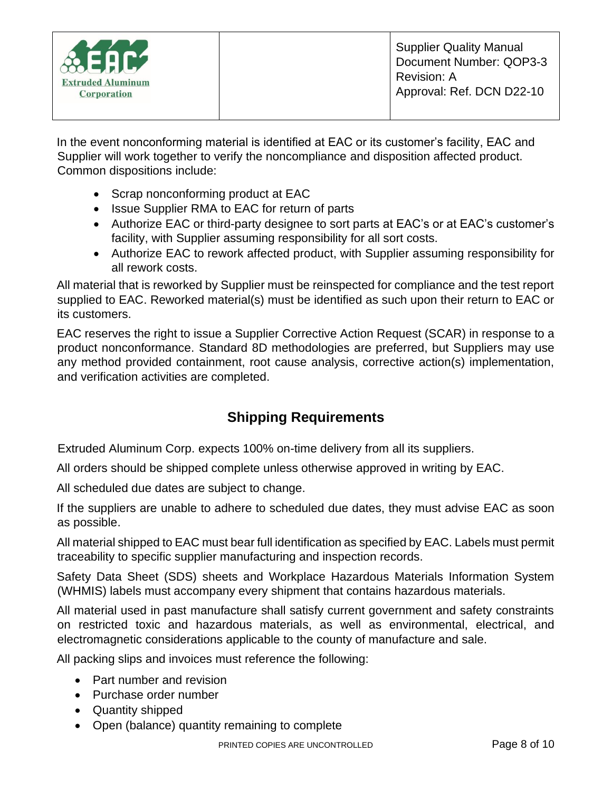In the event nonconforming material is identified at EAC or its customer's facility, EAC and Supplier will work together to verify the noncompliance and disposition affected product. Common dispositions include:

- Scrap nonconforming product at EAC
- Issue Supplier RMA to EAC for return of parts
- Authorize EAC or third-party designee to sort parts at EAC's or at EAC's customer's facility, with Supplier assuming responsibility for all sort costs.
- Authorize EAC to rework affected product, with Supplier assuming responsibility for all rework costs.

All material that is reworked by Supplier must be reinspected for compliance and the test report supplied to EAC. Reworked material(s) must be identified as such upon their return to EAC or its customers.

EAC reserves the right to issue a Supplier Corrective Action Request (SCAR) in response to a product nonconformance. Standard 8D methodologies are preferred, but Suppliers may use any method provided containment, root cause analysis, corrective action(s) implementation, and verification activities are completed.

# **Shipping Requirements**

Extruded Aluminum Corp. expects 100% on-time delivery from all its suppliers.

All orders should be shipped complete unless otherwise approved in writing by EAC.

All scheduled due dates are subject to change.

If the suppliers are unable to adhere to scheduled due dates, they must advise EAC as soon as possible.

All material shipped to EAC must bear full identification as specified by EAC. Labels must permit traceability to specific supplier manufacturing and inspection records.

Safety Data Sheet (SDS) sheets and Workplace Hazardous Materials Information System (WHMIS) labels must accompany every shipment that contains hazardous materials.

All material used in past manufacture shall satisfy current government and safety constraints on restricted toxic and hazardous materials, as well as environmental, electrical, and electromagnetic considerations applicable to the county of manufacture and sale.

All packing slips and invoices must reference the following:

- Part number and revision
- Purchase order number
- Quantity shipped
- Open (balance) quantity remaining to complete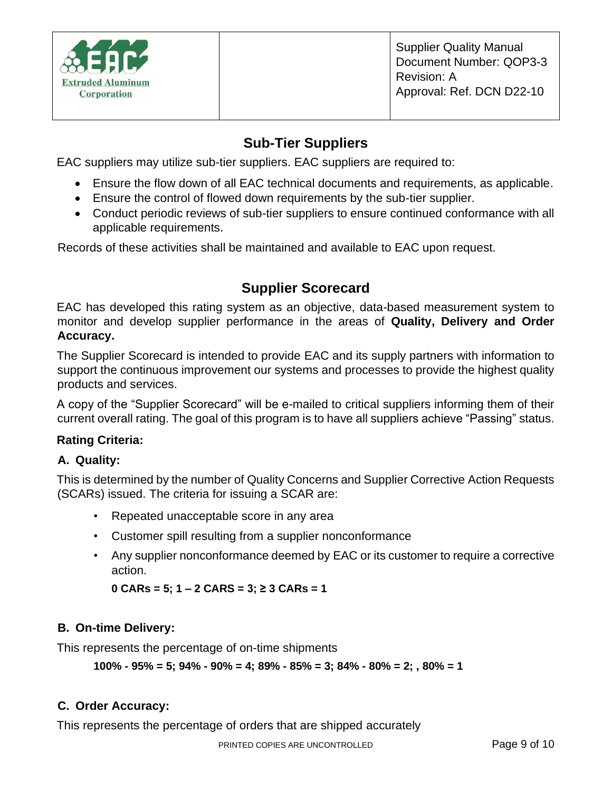

#### **Sub-Tier Suppliers**

EAC suppliers may utilize sub-tier suppliers. EAC suppliers are required to:

- Ensure the flow down of all EAC technical documents and requirements, as applicable.
- Ensure the control of flowed down requirements by the sub-tier supplier.
- Conduct periodic reviews of sub-tier suppliers to ensure continued conformance with all applicable requirements.

Records of these activities shall be maintained and available to EAC upon request.

# **Supplier Scorecard**

EAC has developed this rating system as an objective, data-based measurement system to monitor and develop supplier performance in the areas of **Quality, Delivery and Order Accuracy.**

The Supplier Scorecard is intended to provide EAC and its supply partners with information to support the continuous improvement our systems and processes to provide the highest quality products and services.

A copy of the "Supplier Scorecard" will be e-mailed to critical suppliers informing them of their current overall rating. The goal of this program is to have all suppliers achieve "Passing" status.

#### **Rating Criteria:**

#### **A. Quality:**

This is determined by the number of Quality Concerns and Supplier Corrective Action Requests (SCARs) issued. The criteria for issuing a SCAR are:

- Repeated unacceptable score in any area
- Customer spill resulting from a supplier nonconformance
- Any supplier nonconformance deemed by EAC or its customer to require a corrective action.

**0 CARs = 5; 1 – 2 CARS = 3; ≥ 3 CARs = 1**

#### **B. On-time Delivery:**

This represents the percentage of on-time shipments

**100% - 95% = 5; 94% - 90% = 4; 89% - 85% = 3; 84% - 80% = 2; , 80% = 1** 

#### **C. Order Accuracy:**

This represents the percentage of orders that are shipped accurately